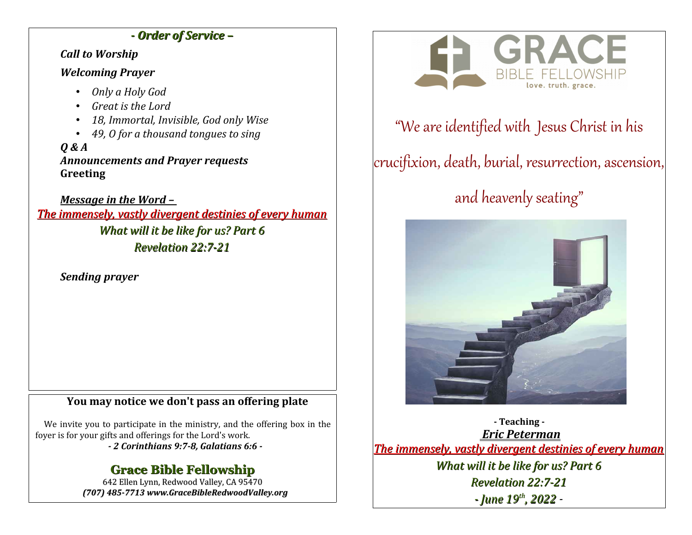## *- Order of Service –*

*Call to Worship*

### *Welcoming Prayer*

- *Only a Holy God*
- *Great is the Lord*
- *18, Immortal, Invisible, God only Wise*
- *49, O for a thousand tongues to sing*

*Q & A Announcements and Prayer requests* **Greeting**

*Message in the Word – The immensely, vastly divergent destinies of every human What will it be like for us? Part 6 Revelation 22:7-21*

*Sending prayer*

## **You may notice we don't pass an offering plate**

We invite you to participate in the ministry, and the offering box in the foyer is for your gifts and offerings for the Lord's work.

*- 2 Corinthians 9:7-8, Galatians 6:6 -*

## **Grace Bible Fellowship**

642 Ellen Lynn, Redwood Valley, CA 95470 *(707) 485-7713 www.GraceBibleRedwoodValley.org*



## "We are identified with Jesus Christ in his

# crucifixion, death, burial, resurrection, ascension,

# and heavenly seating"



**- Teaching -**  *Eric Peterman The immensely, vastly divergent destinies of every human What will it be like for us? Part 6 Revelation 22:7-21 - June 19th, 2022 -*